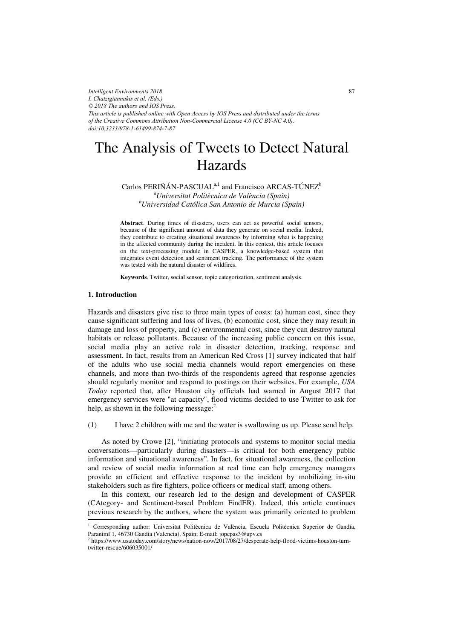*Intelligent Environments 2018 I. Chatzigiannakis et al. (Eds.) © 2018 The authors and IOS Press. This article is published online with Open Access by IOS Press and distributed under the terms of the Creative Commons Attribution Non-Commercial License 4.0 (CC BY-NC 4.0). doi:10.3233/978-1-61499-874-7-87*

# The Analysis of Tweets to Detect Natural Hazards

 $Carlos PERIÑÁN-PASCUAL<sup>a,1</sup>$  and Francisco ARCAS-TÚNEZ<sup>b</sup> *a Universitat Politècnica de València (Spain) b Universidad Católica San Antonio de Murcia (Spain)* 

**Abstract**. During times of disasters, users can act as powerful social sensors, because of the significant amount of data they generate on social media. Indeed, they contribute to creating situational awareness by informing what is happening in the affected community during the incident. In this context, this article focuses on the text-processing module in CASPER, a knowledge-based system that integrates event detection and sentiment tracking. The performance of the system was tested with the natural disaster of wildfires.

**Keywords**. Twitter, social sensor, topic categorization, sentiment analysis.

## **1. Introduction**

Hazards and disasters give rise to three main types of costs: (a) human cost, since they cause significant suffering and loss of lives, (b) economic cost, since they may result in damage and loss of property, and (c) environmental cost, since they can destroy natural habitats or release pollutants. Because of the increasing public concern on this issue, social media play an active role in disaster detection, tracking, response and assessment. In fact, results from an American Red Cross [1] survey indicated that half of the adults who use social media channels would report emergencies on these channels, and more than two-thirds of the respondents agreed that response agencies should regularly monitor and respond to postings on their websites. For example, *USA Today* reported that, after Houston city officials had warned in August 2017 that emergency services were "at capacity", flood victims decided to use Twitter to ask for help, as shown in the following message: $<sup>2</sup>$ </sup>

(1) I have 2 children with me and the water is swallowing us up. Please send help.

As noted by Crowe [2], "initiating protocols and systems to monitor social media conversations—particularly during disasters—is critical for both emergency public information and situational awareness". In fact, for situational awareness, the collection and review of social media information at real time can help emergency managers provide an efficient and effective response to the incident by mobilizing in-situ stakeholders such as fire fighters, police officers or medical staff, among others.

In this context, our research led to the design and development of CASPER (CAtegory- and Sentiment-based Problem FindER). Indeed, this article continues previous research by the authors, where the system was primarily oriented to problem

<sup>&</sup>lt;sup>1</sup> Corresponding author: Universitat Politècnica de València, Escuela Politécnica Superior de Gandía, Paranimf 1, 46730 Gandia (Valencia), Spain; E-mail: jopepas3@upv.es

<sup>2</sup> https://www.usatoday.com/story/news/nation-now/2017/08/27/desperate-help-flood-victims-houston-turntwitter-rescue/606035001/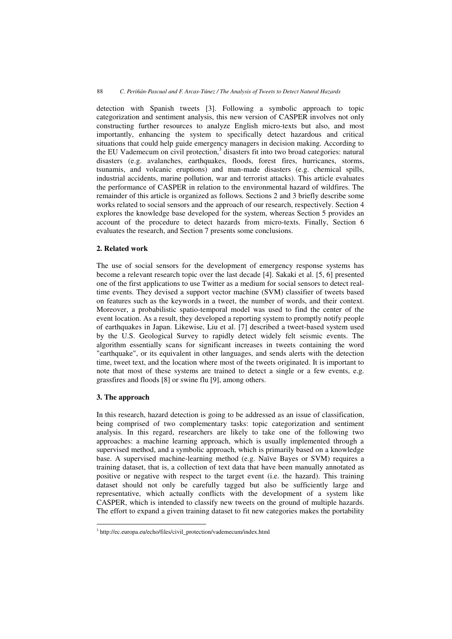detection with Spanish tweets [3]. Following a symbolic approach to topic categorization and sentiment analysis, this new version of CASPER involves not only constructing further resources to analyze English micro-texts but also, and most importantly, enhancing the system to specifically detect hazardous and critical situations that could help guide emergency managers in decision making. According to the EU Vademecum on civil protection, $3$  disasters fit into two broad categories: natural disasters (e.g. avalanches, earthquakes, floods, forest fires, hurricanes, storms, tsunamis, and volcanic eruptions) and man-made disasters (e.g. chemical spills, industrial accidents, marine pollution, war and terrorist attacks). This article evaluates the performance of CASPER in relation to the environmental hazard of wildfires. The remainder of this article is organized as follows. Sections 2 and 3 briefly describe some works related to social sensors and the approach of our research, respectively. Section 4 explores the knowledge base developed for the system, whereas Section 5 provides an account of the procedure to detect hazards from micro-texts. Finally, Section 6 evaluates the research, and Section 7 presents some conclusions.

# **2. Related work**

The use of social sensors for the development of emergency response systems has become a relevant research topic over the last decade [4]. Sakaki et al. [5, 6] presented one of the first applications to use Twitter as a medium for social sensors to detect realtime events. They devised a support vector machine (SVM) classifier of tweets based on features such as the keywords in a tweet, the number of words, and their context. Moreover, a probabilistic spatio-temporal model was used to find the center of the event location. As a result, they developed a reporting system to promptly notify people of earthquakes in Japan. Likewise, Liu et al. [7] described a tweet-based system used by the U.S. Geological Survey to rapidly detect widely felt seismic events. The algorithm essentially scans for significant increases in tweets containing the word "earthquake", or its equivalent in other languages, and sends alerts with the detection time, tweet text, and the location where most of the tweets originated. It is important to note that most of these systems are trained to detect a single or a few events, e.g. grassfires and floods [8] or swine flu [9], among others.

# **3. The approach**

-------------------------------------------

In this research, hazard detection is going to be addressed as an issue of classification, being comprised of two complementary tasks: topic categorization and sentiment analysis. In this regard, researchers are likely to take one of the following two approaches: a machine learning approach, which is usually implemented through a supervised method, and a symbolic approach, which is primarily based on a knowledge base. A supervised machine-learning method (e.g. Naïve Bayes or SVM) requires a training dataset, that is, a collection of text data that have been manually annotated as positive or negative with respect to the target event (i.e. the hazard). This training dataset should not only be carefully tagged but also be sufficiently large and representative, which actually conflicts with the development of a system like CASPER, which is intended to classify new tweets on the ground of multiple hazards. The effort to expand a given training dataset to fit new categories makes the portability

----------

<sup>-</sup>----<sup>3</sup> http://ec.europa.eu/echo/files/civil\_protection/vademecum/index.html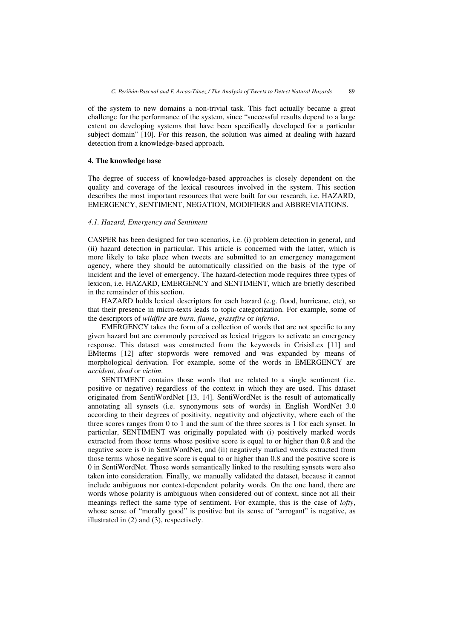of the system to new domains a non-trivial task. This fact actually became a great challenge for the performance of the system, since "successful results depend to a large extent on developing systems that have been specifically developed for a particular subject domain" [10]. For this reason, the solution was aimed at dealing with hazard detection from a knowledge-based approach.

#### **4. The knowledge base**

The degree of success of knowledge-based approaches is closely dependent on the quality and coverage of the lexical resources involved in the system. This section describes the most important resources that were built for our research, i.e. HAZARD, EMERGENCY, SENTIMENT, NEGATION, MODIFIERS and ABBREVIATIONS.

## *4.1. Hazard, Emergency and Sentiment*

CASPER has been designed for two scenarios, i.e. (i) problem detection in general, and (ii) hazard detection in particular. This article is concerned with the latter, which is more likely to take place when tweets are submitted to an emergency management agency, where they should be automatically classified on the basis of the type of incident and the level of emergency. The hazard-detection mode requires three types of lexicon, i.e. HAZARD, EMERGENCY and SENTIMENT, which are briefly described in the remainder of this section.

HAZARD holds lexical descriptors for each hazard (e.g. flood, hurricane, etc), so that their presence in micro-texts leads to topic categorization. For example, some of the descriptors of *wildfire* are *burn, flame*, *grassfire* or *inferno*.

EMERGENCY takes the form of a collection of words that are not specific to any given hazard but are commonly perceived as lexical triggers to activate an emergency response. This dataset was constructed from the keywords in CrisisLex [11] and EMterms [12] after stopwords were removed and was expanded by means of morphological derivation. For example, some of the words in EMERGENCY are *accident*, *dead* or *victim*.

SENTIMENT contains those words that are related to a single sentiment (i.e. positive or negative) regardless of the context in which they are used. This dataset originated from SentiWordNet [13, 14]. SentiWordNet is the result of automatically annotating all synsets (i.e. synonymous sets of words) in English WordNet 3.0 according to their degrees of positivity, negativity and objectivity, where each of the three scores ranges from 0 to 1 and the sum of the three scores is 1 for each synset. In particular, SENTIMENT was originally populated with (i) positively marked words extracted from those terms whose positive score is equal to or higher than 0.8 and the negative score is 0 in SentiWordNet, and (ii) negatively marked words extracted from those terms whose negative score is equal to or higher than 0.8 and the positive score is 0 in SentiWordNet. Those words semantically linked to the resulting synsets were also taken into consideration. Finally, we manually validated the dataset, because it cannot include ambiguous nor context-dependent polarity words. On the one hand, there are words whose polarity is ambiguous when considered out of context, since not all their meanings reflect the same type of sentiment. For example, this is the case of *lofty*, whose sense of "morally good" is positive but its sense of "arrogant" is negative, as illustrated in (2) and (3), respectively.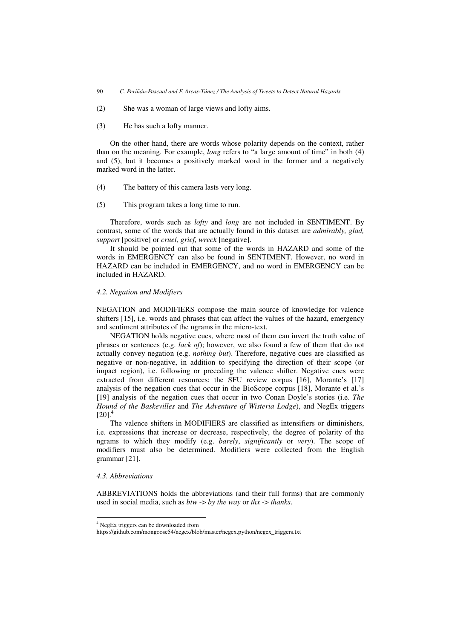- (2) She was a woman of large views and lofty aims.
- (3) He has such a lofty manner.

On the other hand, there are words whose polarity depends on the context, rather than on the meaning. For example, *long* refers to "a large amount of time" in both (4) and (5), but it becomes a positively marked word in the former and a negatively marked word in the latter.

- (4) The battery of this camera lasts very long.
- (5) This program takes a long time to run.

Therefore, words such as *lofty* and *long* are not included in SENTIMENT. By contrast, some of the words that are actually found in this dataset are *admirably, glad, support* [positive] or *cruel, grief, wreck* [negative].

It should be pointed out that some of the words in HAZARD and some of the words in EMERGENCY can also be found in SENTIMENT. However, no word in HAZARD can be included in EMERGENCY, and no word in EMERGENCY can be included in HAZARD.

## *4.2. Negation and Modifiers*

NEGATION and MODIFIERS compose the main source of knowledge for valence shifters [15], i.e. words and phrases that can affect the values of the hazard, emergency and sentiment attributes of the ngrams in the micro-text.

NEGATION holds negative cues, where most of them can invert the truth value of phrases or sentences (e.g. *lack of*); however, we also found a few of them that do not actually convey negation (e.g. *nothing but*). Therefore, negative cues are classified as negative or non-negative, in addition to specifying the direction of their scope (or impact region), i.e. following or preceding the valence shifter. Negative cues were extracted from different resources: the SFU review corpus [16], Morante's [17] analysis of the negation cues that occur in the BioScope corpus [18], Morante et al.'s [19] analysis of the negation cues that occur in two Conan Doyle's stories (i.e. *The Hound of the Baskevilles* and *The Adventure of Wisteria Lodge*), and NegEx triggers  $[20]$ <sup>4</sup>

The valence shifters in MODIFIERS are classified as intensifiers or diminishers, i.e. expressions that increase or decrease, respectively, the degree of polarity of the ngrams to which they modify (e.g. *barely*, *significantly* or *very*). The scope of modifiers must also be determined. Modifiers were collected from the English grammar [21].

## *4.3. Abbreviations*

------------------------

ABBREVIATIONS holds the abbreviations (and their full forms) that are commonly used in social media, such as *btw* -> *by the way* or *thx* -> *thanks*.

----------------------------

<sup>-</sup>-----4 NegEx triggers can be downloaded from

https://github.com/mongoose54/negex/blob/master/negex.python/negex\_triggers.txt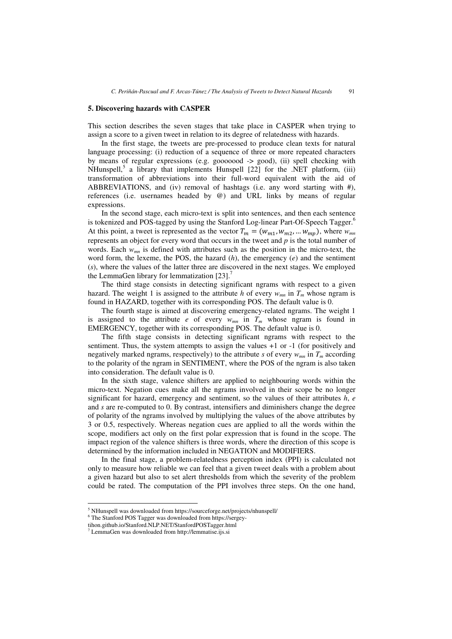#### **5. Discovering hazards with CASPER**

This section describes the seven stages that take place in CASPER when trying to assign a score to a given tweet in relation to its degree of relatedness with hazards.

In the first stage, the tweets are pre-processed to produce clean texts for natural language processing: (i) reduction of a sequence of three or more repeated characters by means of regular expressions (e.g. gooooood -> good), (ii) spell checking with NHunspell,<sup>5</sup> a library that implements Hunspell [22] for the .NET platform, (iii) transformation of abbreviations into their full-word equivalent with the aid of ABBREVIATIONS, and (iv) removal of hashtags (i.e. any word starting with  $\#$ ), references (i.e. usernames headed by @) and URL links by means of regular expressions.

In the second stage, each micro-text is split into sentences, and then each sentence is tokenized and POS-tagged by using the Stanford Log-linear Part-Of-Speech Tagger.<sup>6</sup> At this point, a tweet is represented as the vector  $T_m = (w_{m1}, w_{m2}, \dots w_{mp})$ , where  $w_{mn}$ represents an object for every word that occurs in the tweet and *p* is the total number of words. Each *wmn* is defined with attributes such as the position in the micro-text, the word form, the lexeme, the POS, the hazard  $(h)$ , the emergency  $(e)$  and the sentiment (*s*), where the values of the latter three are discovered in the next stages. We employed the LemmaGen library for lemmatization  $[23]$ .<sup>7</sup>

The third stage consists in detecting significant ngrams with respect to a given hazard. The weight 1 is assigned to the attribute *h* of every  $w_{mn}$  in  $T_m$  whose ngram is found in HAZARD, together with its corresponding POS. The default value is 0.

The fourth stage is aimed at discovering emergency-related ngrams. The weight 1 is assigned to the attribute *e* of every  $w_{mn}$  in  $T_m$  whose ngram is found in EMERGENCY, together with its corresponding POS. The default value is 0.

The fifth stage consists in detecting significant ngrams with respect to the sentiment. Thus, the system attempts to assign the values  $+1$  or  $-1$  (for positively and negatively marked ngrams, respectively) to the attribute  $s$  of every  $w_{mn}$  in  $T_m$  according to the polarity of the ngram in SENTIMENT, where the POS of the ngram is also taken into consideration. The default value is 0.

In the sixth stage, valence shifters are applied to neighbouring words within the micro-text. Negation cues make all the ngrams involved in their scope be no longer significant for hazard, emergency and sentiment, so the values of their attributes *h*, *e* and *s* are re-computed to 0. By contrast, intensifiers and diminishers change the degree of polarity of the ngrams involved by multiplying the values of the above attributes by 3 or 0.5, respectively. Whereas negation cues are applied to all the words within the scope, modifiers act only on the first polar expression that is found in the scope. The impact region of the valence shifters is three words, where the direction of this scope is determined by the information included in NEGATION and MODIFIERS.

In the final stage, a problem-relatedness perception index (PPI) is calculated not only to measure how reliable we can feel that a given tweet deals with a problem about a given hazard but also to set alert thresholds from which the severity of the problem could be rated. The computation of the PPI involves three steps. On the one hand,

------

-----------------------------------------------

<sup>-</sup>----<sup>5</sup> NHunspell was downloaded from https://sourceforge.net/projects/nhunspell/

<sup>6</sup> The Stanford POS Tagger was downloaded from https://sergey-

tihon.github.io/Stanford.NLP.NET/StanfordPOSTagger.html

<sup>7</sup> LemmaGen was downloaded from http://lemmatise.ijs.si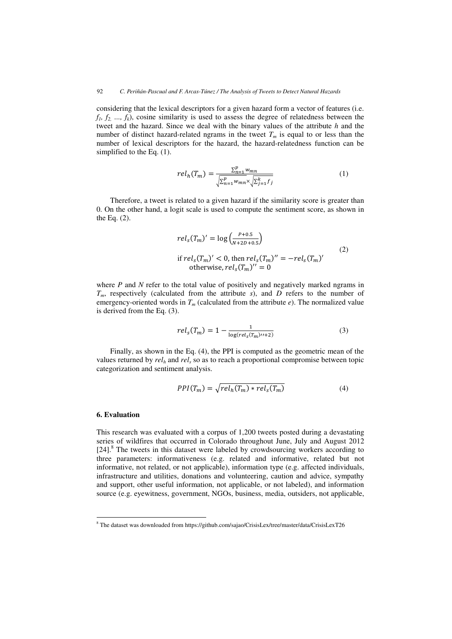considering that the lexical descriptors for a given hazard form a vector of features (i.e.  $f_1, f_2, \ldots, f_k$ , cosine similarity is used to assess the degree of relatedness between the tweet and the hazard. Since we deal with the binary values of the attribute *h* and the number of distinct hazard-related ngrams in the tweet  $T_m$  is equal to or less than the number of lexical descriptors for the hazard, the hazard-relatedness function can be simplified to the Eq. (1).

$$
rel_h(T_m) = \frac{\sum_{n=1}^p w_{mn}}{\sqrt{\sum_{n=1}^p w_{mn} \times \sqrt{\sum_{j=1}^k f_j}}}
$$
(1)

Therefore, a tweet is related to a given hazard if the similarity score is greater than 0. On the other hand, a logit scale is used to compute the sentiment score, as shown in the Eq. (2).

$$
rel_s(T_m)' = \log\left(\frac{P+0.5}{N+2D+0.5}\right)
$$
  
if  $rel_s(T_m)' < 0$ , then  $rel_s(T_m)'' = -rel_s(T_m)'$   
otherwise,  $rel_s(T_m)'' = 0$  (2)

where *P* and *N* refer to the total value of positively and negatively marked ngrams in *Tm*, respectively (calculated from the attribute *s*), and *D* refers to the number of emergency-oriented words in  $T_m$  (calculated from the attribute  $e$ ). The normalized value is derived from the Eq. (3).

$$
rel_s(T_m) = 1 - \frac{1}{\log (rel_s(T_m)^{t+2})}
$$
(3)

Finally, as shown in the Eq. (4), the PPI is computed as the geometric mean of the values returned by  $rel_h$  and  $rel_s$  so as to reach a proportional compromise between topic categorization and sentiment analysis.

$$
PPI(T_m) = \sqrt{rel_h(T_m) * rel_s(T_m)}
$$
(4)

## **6. Evaluation**

----------------------------------------------------------

This research was evaluated with a corpus of 1,200 tweets posted during a devastating series of wildfires that occurred in Colorado throughout June, July and August 2012 [24].<sup>8</sup> The tweets in this dataset were labeled by crowdsourcing workers according to three parameters: informativeness (e.g. related and informative, related but not informative, not related, or not applicable), information type (e.g. affected individuals, infrastructure and utilities, donations and volunteering, caution and advice, sympathy and support, other useful information, not applicable, or not labeled), and information source (e.g. eyewitness, government, NGOs, business, media, outsiders, not applicable,

<sup>&</sup>lt;sup>8</sup> The dataset was downloaded from https://github.com/sajao/CrisisLex/tree/master/data/CrisisLexT26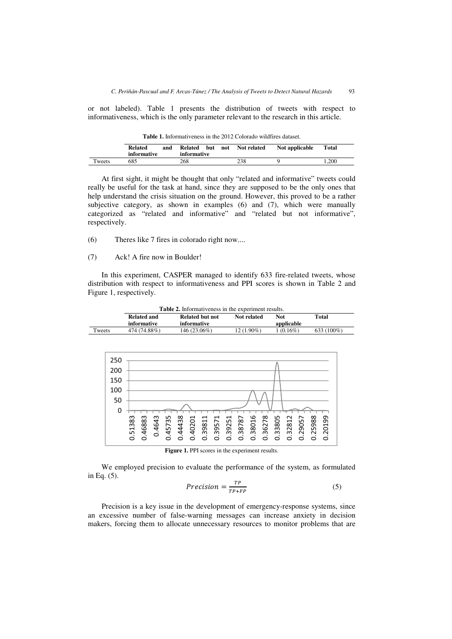or not labeled). Table 1 presents the distribution of tweets with respect to informativeness, which is the only parameter relevant to the research in this article.

|        | <b>Related</b><br>informative | and | Related<br>informative | but | not | Not related | Not applicable | Total |
|--------|-------------------------------|-----|------------------------|-----|-----|-------------|----------------|-------|
| Tweets | 685                           |     | 268                    |     |     | 238         |                | .200  |

**Table 1.** Informativeness in the 2012 Colorado wildfires dataset.

At first sight, it might be thought that only "related and informative" tweets could really be useful for the task at hand, since they are supposed to be the only ones that help understand the crisis situation on the ground. However, this proved to be a rather subjective category, as shown in examples (6) and (7), which were manually categorized as "related and informative" and "related but not informative", respectively.

(6) Theres like 7 fires in colorado right now....

(7) Ack! A fire now in Boulder!

In this experiment, CASPER managed to identify 633 fire-related tweets, whose distribution with respect to informativeness and PPI scores is shown in Table 2 and Figure 1, respectively.

|        | <b>Table 2.</b> Informativeness in the experiment results. |                 |              |            |               |
|--------|------------------------------------------------------------|-----------------|--------------|------------|---------------|
|        | <b>Related and</b>                                         | Related but not | Not related  | <b>Not</b> | Total         |
|        | informative                                                | informative     |              | applicable |               |
| Tweets | 474 (74.88%)                                               | 146 (23.06%)    | $12(1.90\%)$ | 1 (0.16%)  | 633 $(100\%)$ |



Figure 1. PPI scores in the experiment results.

We employed precision to evaluate the performance of the system, as formulated in Eq. (5).

$$
Precision = \frac{TP}{TP + FP}
$$
 (5)

Precision is a key issue in the development of emergency-response systems, since an excessive number of false-warning messages can increase anxiety in decision makers, forcing them to allocate unnecessary resources to monitor problems that are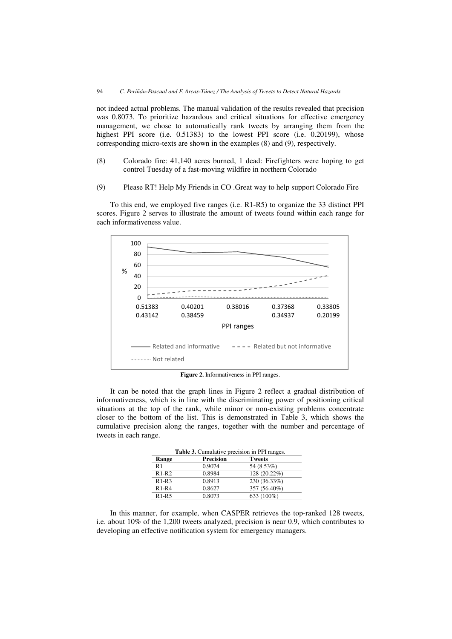not indeed actual problems. The manual validation of the results revealed that precision was 0.8073. To prioritize hazardous and critical situations for effective emergency management, we chose to automatically rank tweets by arranging them from the highest PPI score (i.e. 0.51383) to the lowest PPI score (i.e. 0.20199), whose corresponding micro-texts are shown in the examples (8) and (9), respectively.

- (8) Colorado fire: 41,140 acres burned, 1 dead: Firefighters were hoping to get control Tuesday of a fast-moving wildfire in northern Colorado
- (9) Please RT! Help My Friends in CO .Great way to help support Colorado Fire

To this end, we employed five ranges (i.e. R1-R5) to organize the 33 distinct PPI scores. Figure 2 serves to illustrate the amount of tweets found within each range for each informativeness value.



**Figure 2.** Informativeness in PPI ranges.

It can be noted that the graph lines in Figure 2 reflect a gradual distribution of informativeness, which is in line with the discriminating power of positioning critical situations at the top of the rank, while minor or non-existing problems concentrate closer to the bottom of the list. This is demonstrated in Table 3, which shows the cumulative precision along the ranges, together with the number and percentage of tweets in each range.

| Table 3. Cumulative precision in PPI ranges. |                  |               |  |  |
|----------------------------------------------|------------------|---------------|--|--|
| Range                                        | <b>Precision</b> | <b>Tweets</b> |  |  |
| R <sub>1</sub>                               | 0.9074           | 54 (8.53%)    |  |  |
| $R1-R2$                                      | 0.8984           | 128 (20.22%)  |  |  |
| $R1-R3$                                      | 0.8913           | 230 (36.33%)  |  |  |
| $R1-R4$                                      | 0.8627           | 357 (56.40%)  |  |  |
| $R1-R5$                                      | 0.8073           | 633 (100%)    |  |  |

In this manner, for example, when CASPER retrieves the top-ranked 128 tweets, i.e. about 10% of the 1,200 tweets analyzed, precision is near 0.9, which contributes to developing an effective notification system for emergency managers.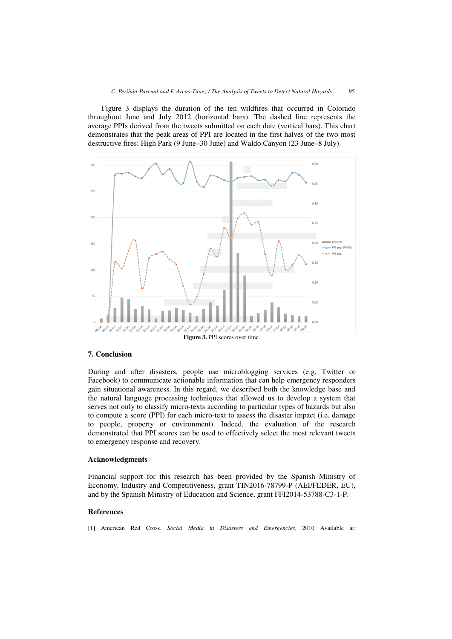Figure 3 displays the duration of the ten wildfires that occurred in Colorado throughout June and July 2012 (horizontal bars). The dashed line represents the average PPIs derived from the tweets submitted on each date (vertical bars). This chart demonstrates that the peak areas of PPI are located in the first halves of the two most destructive fires: High Park (9 June–30 June) and Waldo Canyon (23 June–8 July).



#### **7. Conclusion**

During and after disasters, people use microblogging services (e.g. Twitter or Facebook) to communicate actionable information that can help emergency responders gain situational awareness. In this regard, we described both the knowledge base and the natural language processing techniques that allowed us to develop a system that serves not only to classify micro-texts according to particular types of hazards but also to compute a score (PPI) for each micro-text to assess the disaster impact (i.e. damage to people, property or environment). Indeed, the evaluation of the research demonstrated that PPI scores can be used to effectively select the most relevant tweets to emergency response and recovery.

#### **Acknowledgments**

Financial support for this research has been provided by the Spanish Ministry of Economy, Industry and Competitiveness, grant TIN2016-78799-P (AEI/FEDER, EU), and by the Spanish Ministry of Education and Science, grant FFI2014-53788-C3-1-P.

## **References**

[1] American Red Cross. *Social Media in Disasters and Emergencies*, 2010 Available at: